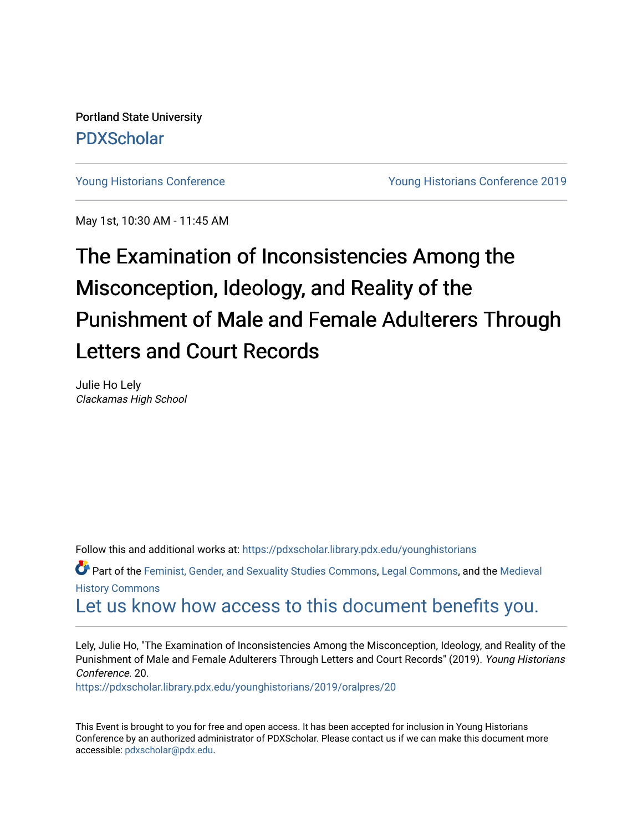Portland State University [PDXScholar](https://pdxscholar.library.pdx.edu/)

[Young Historians Conference](https://pdxscholar.library.pdx.edu/younghistorians) [Young Historians Conference 2019](https://pdxscholar.library.pdx.edu/younghistorians/2019) 

May 1st, 10:30 AM - 11:45 AM

## The Examination of Inconsistencies Among the Misconception, Ideology, and Reality of the Punishment of Male and Female Adulterers Through Letters and Court Records

Julie Ho Lely Clackamas High School

Follow this and additional works at: [https://pdxscholar.library.pdx.edu/younghistorians](https://pdxscholar.library.pdx.edu/younghistorians?utm_source=pdxscholar.library.pdx.edu%2Fyounghistorians%2F2019%2Foralpres%2F20&utm_medium=PDF&utm_campaign=PDFCoverPages)

Part of the [Feminist, Gender, and Sexuality Studies Commons](http://network.bepress.com/hgg/discipline/559?utm_source=pdxscholar.library.pdx.edu%2Fyounghistorians%2F2019%2Foralpres%2F20&utm_medium=PDF&utm_campaign=PDFCoverPages), [Legal Commons](http://network.bepress.com/hgg/discipline/502?utm_source=pdxscholar.library.pdx.edu%2Fyounghistorians%2F2019%2Foralpres%2F20&utm_medium=PDF&utm_campaign=PDFCoverPages), and the [Medieval](http://network.bepress.com/hgg/discipline/503?utm_source=pdxscholar.library.pdx.edu%2Fyounghistorians%2F2019%2Foralpres%2F20&utm_medium=PDF&utm_campaign=PDFCoverPages) [History Commons](http://network.bepress.com/hgg/discipline/503?utm_source=pdxscholar.library.pdx.edu%2Fyounghistorians%2F2019%2Foralpres%2F20&utm_medium=PDF&utm_campaign=PDFCoverPages)

[Let us know how access to this document benefits you.](http://library.pdx.edu/services/pdxscholar-services/pdxscholar-feedback/) 

Lely, Julie Ho, "The Examination of Inconsistencies Among the Misconception, Ideology, and Reality of the Punishment of Male and Female Adulterers Through Letters and Court Records" (2019). Young Historians Conference. 20.

[https://pdxscholar.library.pdx.edu/younghistorians/2019/oralpres/20](https://pdxscholar.library.pdx.edu/younghistorians/2019/oralpres/20?utm_source=pdxscholar.library.pdx.edu%2Fyounghistorians%2F2019%2Foralpres%2F20&utm_medium=PDF&utm_campaign=PDFCoverPages)

This Event is brought to you for free and open access. It has been accepted for inclusion in Young Historians Conference by an authorized administrator of PDXScholar. Please contact us if we can make this document more accessible: [pdxscholar@pdx.edu.](mailto:pdxscholar@pdx.edu)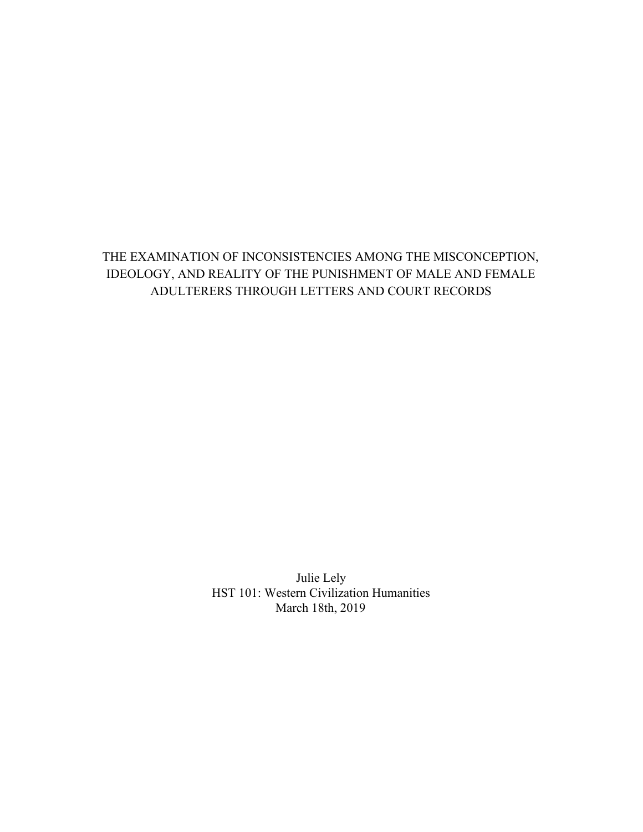## THE EXAMINATION OF INCONSISTENCIES AMONG THE MISCONCEPTION, IDEOLOGY, AND REALITY OF THE PUNISHMENT OF MALE AND FEMALE ADULTERERS THROUGH LETTERS AND COURT RECORDS

Julie Lely HST 101: Western Civilization Humanities March 18th, 2019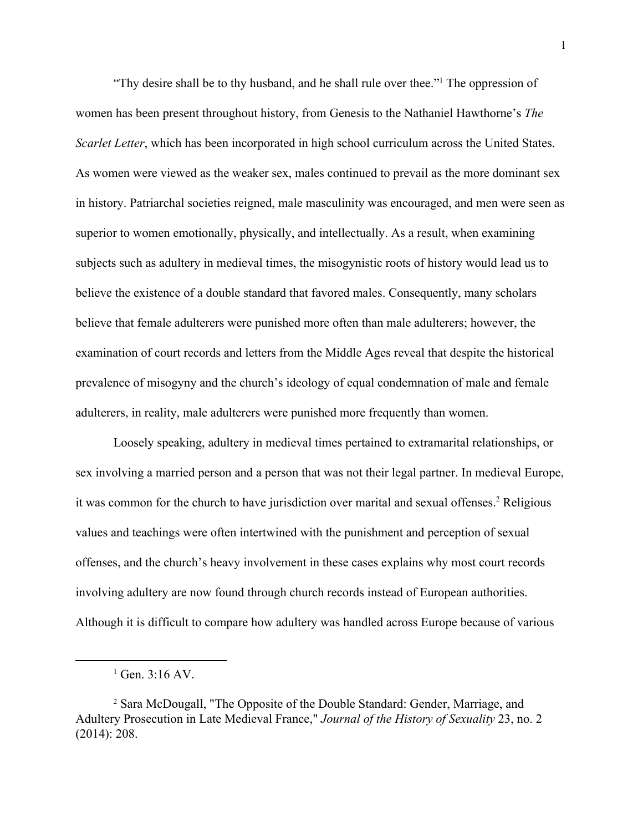"Thy desire shall be to thy husband, and he shall rule over thee."<sup>1</sup> The oppression of women has been present throughout history, from Genesis to the Nathaniel Hawthorne's *The Scarlet Letter*, which has been incorporated in high school curriculum across the United States. As women were viewed as the weaker sex, males continued to prevail as the more dominant sex in history. Patriarchal societies reigned, male masculinity was encouraged, and men were seen as superior to women emotionally, physically, and intellectually. As a result, when examining subjects such as adultery in medieval times, the misogynistic roots of history would lead us to believe the existence of a double standard that favored males. Consequently, many scholars believe that female adulterers were punished more often than male adulterers; however, the examination of court records and letters from the Middle Ages reveal that despite the historical prevalence of misogyny and the church's ideology of equal condemnation of male and female adulterers, in reality, male adulterers were punished more frequently than women.

Loosely speaking, adultery in medieval times pertained to extramarital relationships, or sex involving a married person and a person that was not their legal partner. In medieval Europe, it was common for the church to have jurisdiction over marital and sexual offenses.<sup>2</sup> Religious values and teachings were often intertwined with the punishment and perception of sexual offenses, and the church's heavy involvement in these cases explains why most court records involving adultery are now found through church records instead of European authorities. Although it is difficult to compare how adultery was handled across Europe because of various

<sup>1</sup> Gen. 3:16 AV.

<sup>2</sup> Sara McDougall, "The Opposite of the Double Standard: Gender, Marriage, and Adultery Prosecution in Late Medieval France," *Journal of the History of Sexuality* 23, no. 2 (2014): 208.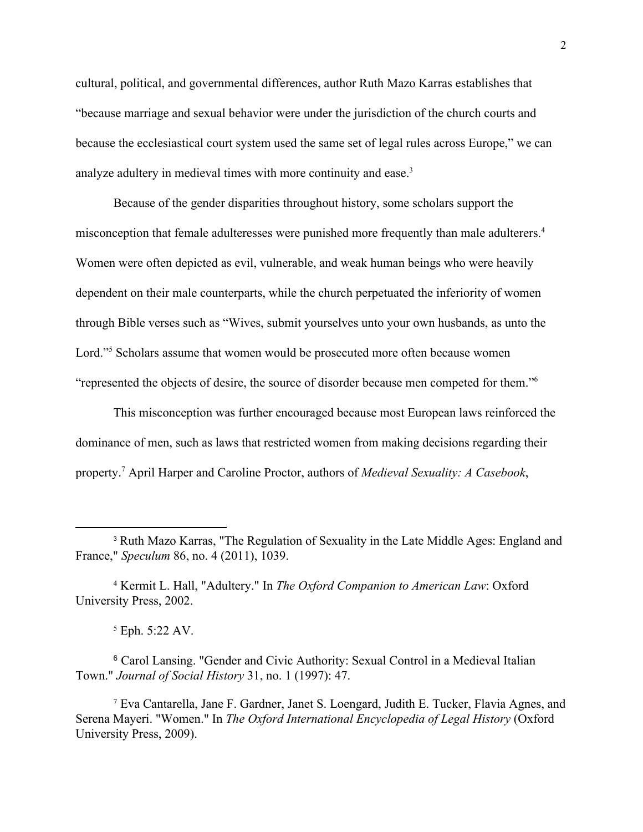cultural, political, and governmental differences, author Ruth Mazo Karras establishes that "because marriage and sexual behavior were under the jurisdiction of the church courts and because the ecclesiastical court system used the same set of legal rules across Europe," we can analyze adultery in medieval times with more continuity and ease.<sup>3</sup>

Because of the gender disparities throughout history, some scholars support the misconception that female adulteresses were punished more frequently than male adulterers.<sup>4</sup> Women were often depicted as evil, vulnerable, and weak human beings who were heavily dependent on their male counterparts, while the church perpetuated the inferiority of women through Bible verses such as "Wives, submit yourselves unto your own husbands, as unto the Lord."<sup>5</sup> Scholars assume that women would be prosecuted more often because women "represented the objects of desire, the source of disorder because men competed for them."<sup>6</sup>

This misconception was further encouraged because most European laws reinforced the dominance of men, such as laws that restricted women from making decisions regarding their property.<sup>7</sup> April Harper and Caroline Proctor, authors of *Medieval Sexuality: A Casebook*,

<sup>3</sup> Ruth Mazo Karras, "The Regulation of Sexuality in the Late Middle Ages: England and France," *Speculum* 86, no. 4 (2011), 1039.

<sup>4</sup> Kermit L. Hall, "Adultery." In *The Oxford Companion to American Law*: Oxford University Press, 2002.

<sup>5</sup> Eph. 5:22 AV.

<sup>6</sup> Carol Lansing. "Gender and Civic Authority: Sexual Control in a Medieval Italian Town." *Journal of Social History* 31, no. 1 (1997): 47.

<sup>7</sup> Eva Cantarella, Jane F. Gardner, Janet S. Loengard, Judith E. Tucker, Flavia Agnes, and Serena Mayeri. "Women." In *The Oxford International Encyclopedia of Legal History* (Oxford University Press, 2009).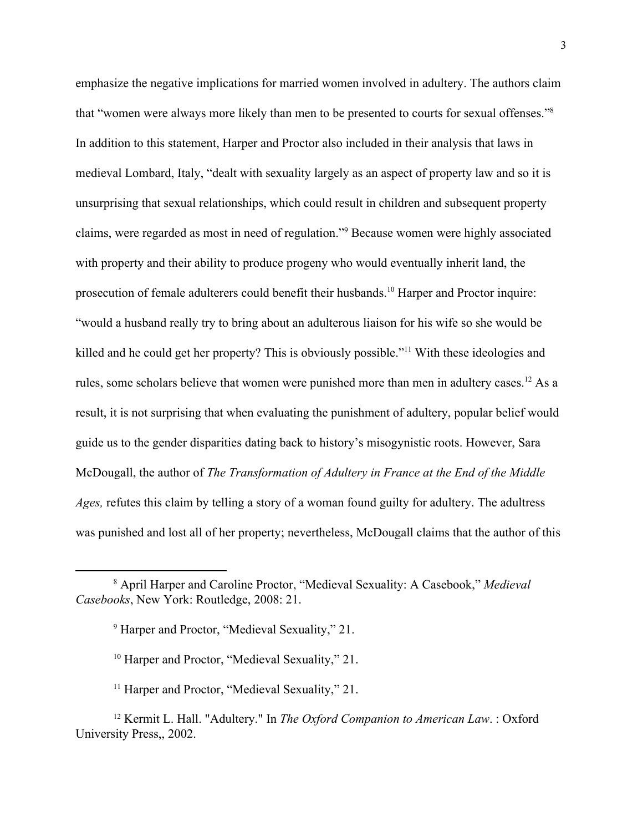emphasize the negative implications for married women involved in adultery. The authors claim that "women were always more likely than men to be presented to courts for sexual offenses."<sup>8</sup> In addition to this statement, Harper and Proctor also included in their analysis that laws in medieval Lombard, Italy, "dealt with sexuality largely as an aspect of property law and so it is unsurprising that sexual relationships, which could result in children and subsequent property claims, were regarded as most in need of regulation."<sup>9</sup> Because women were highly associated with property and their ability to produce progeny who would eventually inherit land, the prosecution of female adulterers could benefit their husbands.<sup>10</sup> Harper and Proctor inquire: "would a husband really try to bring about an adulterous liaison for his wife so she would be killed and he could get her property? This is obviously possible."<sup>11</sup> With these ideologies and rules, some scholars believe that women were punished more than men in adultery cases.<sup>12</sup> As a result, it is not surprising that when evaluating the punishment of adultery, popular belief would guide us to the gender disparities dating back to history's misogynistic roots. However, Sara McDougall, the author of *The Transformation of Adultery in France at the End of the Middle Ages,* refutes this claim by telling a story of a woman found guilty for adultery. The adultress was punished and lost all of her property; nevertheless, McDougall claims that the author of this

<sup>8</sup> April Harper and Caroline Proctor, "Medieval Sexuality: A Casebook," *Medieval Casebooks*, New York: Routledge, 2008: 21.

<sup>9</sup> Harper and Proctor, "Medieval Sexuality," 21.

<sup>&</sup>lt;sup>10</sup> Harper and Proctor, "Medieval Sexuality," 21.

<sup>&</sup>lt;sup>11</sup> Harper and Proctor, "Medieval Sexuality," 21.

<sup>12</sup> Kermit L. Hall. "Adultery." In *The Oxford Companion to American Law*. : Oxford University Press,, 2002.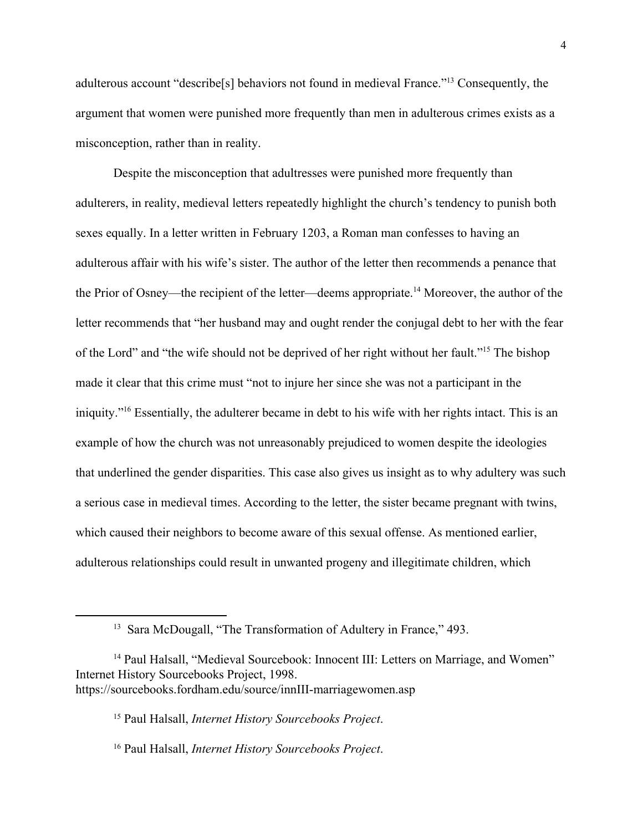adulterous account "describe[s] behaviors not found in medieval France."<sup>13</sup> Consequently, the argument that women were punished more frequently than men in adulterous crimes exists as a misconception, rather than in reality.

Despite the misconception that adultresses were punished more frequently than adulterers, in reality, medieval letters repeatedly highlight the church's tendency to punish both sexes equally. In a letter written in February 1203, a Roman man confesses to having an adulterous affair with his wife's sister. The author of the letter then recommends a penance that the Prior of Osney—the recipient of the letter—deems appropriate.<sup>14</sup> Moreover, the author of the letter recommends that "her husband may and ought render the conjugal debt to her with the fear of the Lord" and "the wife should not be deprived of her right without her fault."<sup>15</sup> The bishop made it clear that this crime must "not to injure her since she was not a participant in the iniquity."<sup>16</sup> Essentially, the adulterer became in debt to his wife with her rights intact. This is an example of how the church was not unreasonably prejudiced to women despite the ideologies that underlined the gender disparities. This case also gives us insight as to why adultery was such a serious case in medieval times. According to the letter, the sister became pregnant with twins, which caused their neighbors to become aware of this sexual offense. As mentioned earlier, adulterous relationships could result in unwanted progeny and illegitimate children, which

15 Paul Halsall, *Internet History Sourcebooks Project*.

16 Paul Halsall, *Internet History Sourcebooks Project*.

<sup>&</sup>lt;sup>13</sup> Sara McDougall, "The Transformation of Adultery in France," 493.

<sup>&</sup>lt;sup>14</sup> Paul Halsall, "Medieval Sourcebook: Innocent III: Letters on Marriage, and Women" Internet History Sourcebooks Project, 1998. https://sourcebooks.fordham.edu/source/innIII-marriagewomen.asp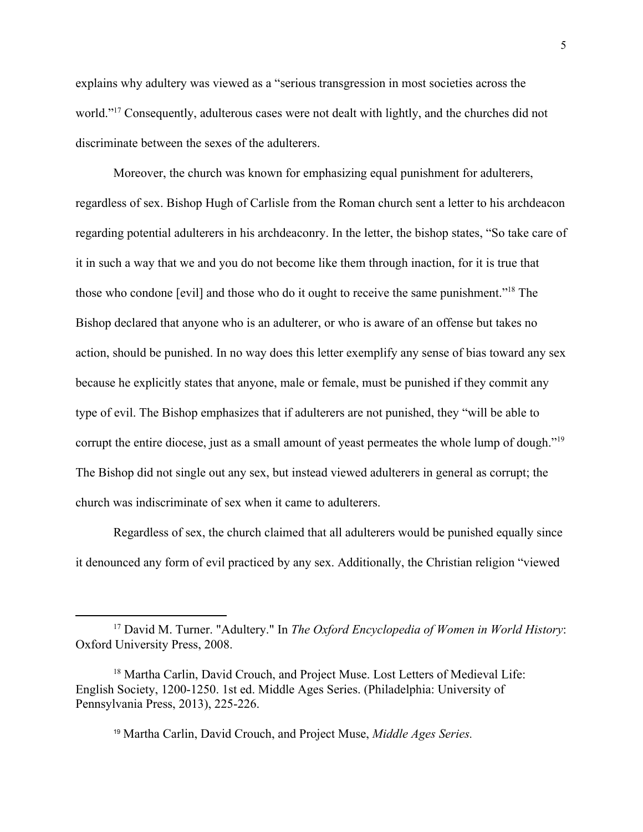explains why adultery was viewed as a "serious transgression in most societies across the world."<sup>17</sup> Consequently, adulterous cases were not dealt with lightly, and the churches did not discriminate between the sexes of the adulterers.

Moreover, the church was known for emphasizing equal punishment for adulterers, regardless of sex. Bishop Hugh of Carlisle from the Roman church sent a letter to his archdeacon regarding potential adulterers in his archdeaconry. In the letter, the bishop states, "So take care of it in such a way that we and you do not become like them through inaction, for it is true that those who condone [evil] and those who do it ought to receive the same punishment."<sup>18</sup> The Bishop declared that anyone who is an adulterer, or who is aware of an offense but takes no action, should be punished. In no way does this letter exemplify any sense of bias toward any sex because he explicitly states that anyone, male or female, must be punished if they commit any type of evil. The Bishop emphasizes that if adulterers are not punished, they "will be able to corrupt the entire diocese, just as a small amount of yeast permeates the whole lump of dough."<sup>19</sup> The Bishop did not single out any sex, but instead viewed adulterers in general as corrupt; the church was indiscriminate of sex when it came to adulterers.

Regardless of sex, the church claimed that all adulterers would be punished equally since it denounced any form of evil practiced by any sex. Additionally, the Christian religion "viewed

<sup>19</sup> Martha Carlin, David Crouch, and Project Muse, *Middle Ages Series.*

<sup>17</sup> David M. Turner. "Adultery." In *The Oxford Encyclopedia of Women in World History*: Oxford University Press, 2008.

<sup>&</sup>lt;sup>18</sup> Martha Carlin, David Crouch, and Project Muse. Lost Letters of Medieval Life: English Society, 1200-1250. 1st ed. Middle Ages Series. (Philadelphia: University of Pennsylvania Press, 2013), 225-226.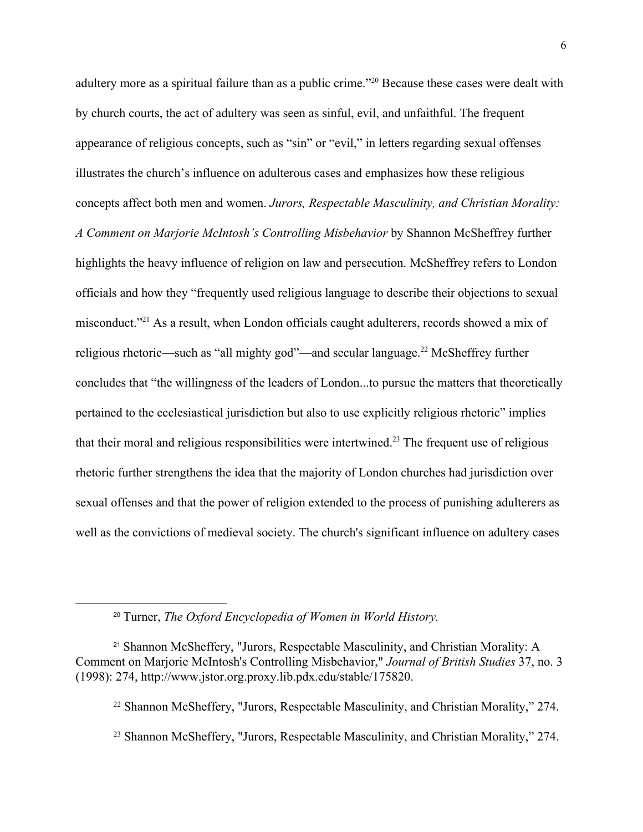adultery more as a spiritual failure than as a public crime."<sup>20</sup> Because these cases were dealt with by church courts, the act of adultery was seen as sinful, evil, and unfaithful. The frequent appearance of religious concepts, such as "sin" or "evil," in letters regarding sexual offenses illustrates the church's influence on adulterous cases and emphasizes how these religious concepts affect both men and women. *Jurors, Respectable Masculinity, and Christian Morality: A Comment on Marjorie McIntosh's Controlling Misbehavior* by Shannon McSheffrey further highlights the heavy influence of religion on law and persecution. McSheffrey refers to London officials and how they "frequently used religious language to describe their objections to sexual misconduct."<sup>21</sup> As a result, when London officials caught adulterers, records showed a mix of religious rhetoric—such as "all mighty god"—and secular language.<sup>22</sup> McSheffrey further concludes that "the willingness of the leaders of London...to pursue the matters that theoretically pertained to the ecclesiastical jurisdiction but also to use explicitly religious rhetoric" implies that their moral and religious responsibilities were intertwined.<sup>23</sup> The frequent use of religious rhetoric further strengthens the idea that the majority of London churches had jurisdiction over sexual offenses and that the power of religion extended to the process of punishing adulterers as well as the convictions of medieval society. The church's significant influence on adultery cases

<sup>20</sup> Turner, *The Oxford Encyclopedia of Women in World History.*

<sup>21</sup> Shannon McSheffery, "Jurors, Respectable Masculinity, and Christian Morality: A Comment on Marjorie McIntosh's Controlling Misbehavior," *Journal of British Studies* 37, no. 3 (1998): 274, http://www.jstor.org.proxy.lib.pdx.edu/stable/175820.

<sup>22</sup> Shannon McSheffery, "Jurors, Respectable Masculinity, and Christian Morality," 274.

<sup>&</sup>lt;sup>23</sup> Shannon McSheffery, "Jurors, Respectable Masculinity, and Christian Morality," 274.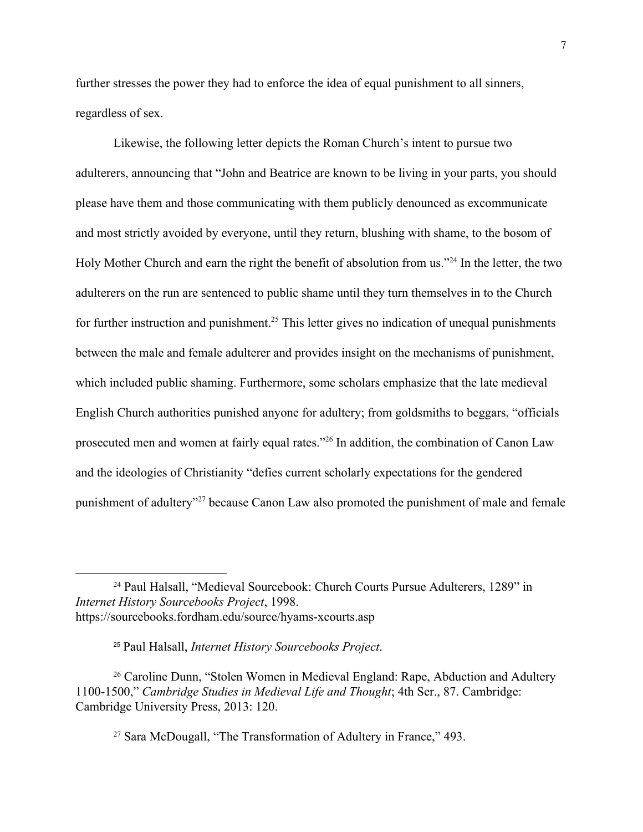further stresses the power they had to enforce the idea of equal punishment to all sinners, regardless of sex.

Likewise, the following letter depicts the Roman Church's intent to pursue two adulterers, announcing that "John and Beatrice are known to be living in your parts, you should please have them and those communicating with them publicly denounced as excommunicate and most strictly avoided by everyone, until they return, blushing with shame, to the bosom of Holy Mother Church and earn the right the benefit of absolution from us."<sup>24</sup> In the letter, the two adulterers on the run are sentenced to public shame until they turn themselves in to the Church for further instruction and punishment.<sup>25</sup> This letter gives no indication of unequal punishments between the male and female adulterer and provides insight on the mechanisms of punishment, which included public shaming. Furthermore, some scholars emphasize that the late medieval English Church authorities punished anyone for adultery; from goldsmiths to beggars, "officials prosecuted men and women at fairly equal rates."<sup>26</sup> In addition, the combination of Canon Law and the ideologies of Christianity "defies current scholarly expectations for the gendered punishment of adultery"<sup>27</sup> because Canon Law also promoted the punishment of male and female

27 Sara McDougall, "The Transformation of Adultery in France," 493.

<sup>24</sup> Paul Halsall, "Medieval Sourcebook: Church Courts Pursue Adulterers, 1289" in *Internet History Sourcebooks Project*, 1998. https://sourcebooks.fordham.edu/source/hyams-xcourts.asp

<sup>25</sup> Paul Halsall, *Internet History Sourcebooks Project*.

<sup>&</sup>lt;sup>26</sup> Caroline Dunn, "Stolen Women in Medieval England: Rape, Abduction and Adultery 1100-1500," *Cambridge Studies in Medieval Life and Thought*; 4th Ser., 87. Cambridge: Cambridge University Press, 2013: 120.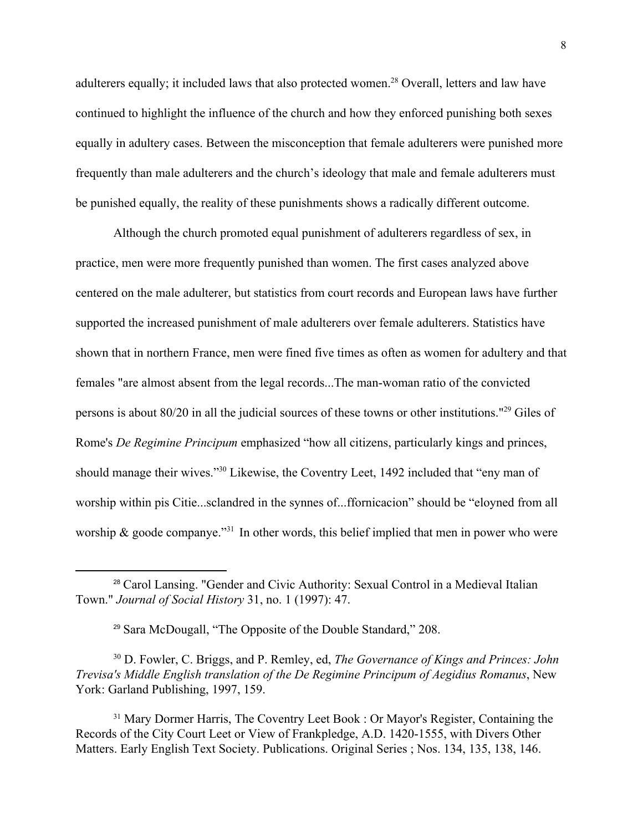adulterers equally; it included laws that also protected women.<sup>28</sup> Overall, letters and law have continued to highlight the influence of the church and how they enforced punishing both sexes equally in adultery cases. Between the misconception that female adulterers were punished more frequently than male adulterers and the church's ideology that male and female adulterers must be punished equally, the reality of these punishments shows a radically different outcome.

Although the church promoted equal punishment of adulterers regardless of sex, in practice, men were more frequently punished than women. The first cases analyzed above centered on the male adulterer, but statistics from court records and European laws have further supported the increased punishment of male adulterers over female adulterers. Statistics have shown that in northern France, men were fined five times as often as women for adultery and that females "are almost absent from the legal records...The man-woman ratio of the convicted persons is about  $80/20$  in all the judicial sources of these towns or other institutions."<sup>29</sup> Giles of Rome's *De Regimine Principum* emphasized "how all citizens, particularly kings and princes, should manage their wives."<sup>30</sup> Likewise, the Coventry Leet, 1492 included that "eny man of worship within pis Citie...sclandred in the synnes of...ffornicacion" should be "eloyned from all worship  $\&$  goode companye."<sup>31</sup> In other words, this belief implied that men in power who were

<sup>28</sup> Carol Lansing. "Gender and Civic Authority: Sexual Control in a Medieval Italian Town." *Journal of Social History* 31, no. 1 (1997): 47.

<sup>29</sup> Sara McDougall, "The Opposite of the Double Standard," 208.

<sup>30</sup> D. Fowler, C. Briggs, and P. Remley, ed, *The Governance of Kings and Princes: John Trevisa's Middle English translation of the De Regimine Principum of Aegidius Romanus*, New York: Garland Publishing, 1997, 159.

<sup>&</sup>lt;sup>31</sup> Mary Dormer Harris, The Coventry Leet Book : Or Mayor's Register, Containing the Records of the City Court Leet or View of Frankpledge, A.D. 1420-1555, with Divers Other Matters. Early English Text Society. Publications. Original Series ; Nos. 134, 135, 138, 146.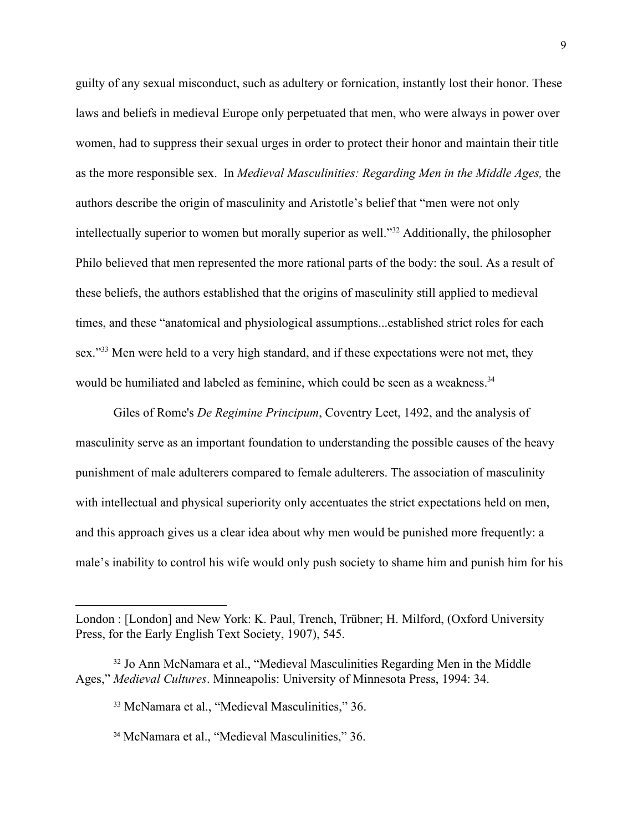guilty of any sexual misconduct, such as adultery or fornication, instantly lost their honor. These laws and beliefs in medieval Europe only perpetuated that men, who were always in power over women, had to suppress their sexual urges in order to protect their honor and maintain their title as the more responsible sex. In *Medieval Masculinities: Regarding Men in the Middle Ages,* the authors describe the origin of masculinity and Aristotle's belief that "men were not only intellectually superior to women but morally superior as well."<sup>32</sup> Additionally, the philosopher Philo believed that men represented the more rational parts of the body: the soul. As a result of these beliefs, the authors established that the origins of masculinity still applied to medieval times, and these "anatomical and physiological assumptions...established strict roles for each sex."<sup>33</sup> Men were held to a very high standard, and if these expectations were not met, they would be humiliated and labeled as feminine, which could be seen as a weakness.<sup>34</sup>

Giles of Rome's *De Regimine Principum*, Coventry Leet, 1492, and the analysis of masculinity serve as an important foundation to understanding the possible causes of the heavy punishment of male adulterers compared to female adulterers. The association of masculinity with intellectual and physical superiority only accentuates the strict expectations held on men, and this approach gives us a clear idea about why men would be punished more frequently: a male's inability to control his wife would only push society to shame him and punish him for his

London : [London] and New York: K. Paul, Trench, Trübner; H. Milford, (Oxford University Press, for the Early English Text Society, 1907), 545.

<sup>32</sup> Jo Ann McNamara et al., "Medieval Masculinities Regarding Men in the Middle Ages," *Medieval Cultures*. Minneapolis: University of Minnesota Press, 1994: 34.

<sup>33</sup> McNamara et al., "Medieval Masculinities," 36.

<sup>34</sup> McNamara et al., "Medieval Masculinities," 36.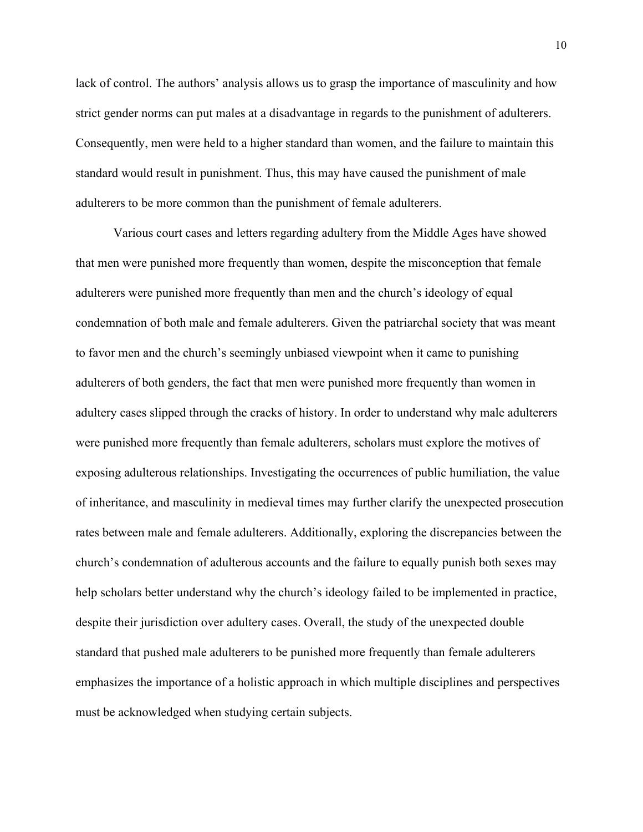lack of control. The authors' analysis allows us to grasp the importance of masculinity and how strict gender norms can put males at a disadvantage in regards to the punishment of adulterers. Consequently, men were held to a higher standard than women, and the failure to maintain this standard would result in punishment. Thus, this may have caused the punishment of male adulterers to be more common than the punishment of female adulterers.

Various court cases and letters regarding adultery from the Middle Ages have showed that men were punished more frequently than women, despite the misconception that female adulterers were punished more frequently than men and the church's ideology of equal condemnation of both male and female adulterers. Given the patriarchal society that was meant to favor men and the church's seemingly unbiased viewpoint when it came to punishing adulterers of both genders, the fact that men were punished more frequently than women in adultery cases slipped through the cracks of history. In order to understand why male adulterers were punished more frequently than female adulterers, scholars must explore the motives of exposing adulterous relationships. Investigating the occurrences of public humiliation, the value of inheritance, and masculinity in medieval times may further clarify the unexpected prosecution rates between male and female adulterers. Additionally, exploring the discrepancies between the church's condemnation of adulterous accounts and the failure to equally punish both sexes may help scholars better understand why the church's ideology failed to be implemented in practice, despite their jurisdiction over adultery cases. Overall, the study of the unexpected double standard that pushed male adulterers to be punished more frequently than female adulterers emphasizes the importance of a holistic approach in which multiple disciplines and perspectives must be acknowledged when studying certain subjects.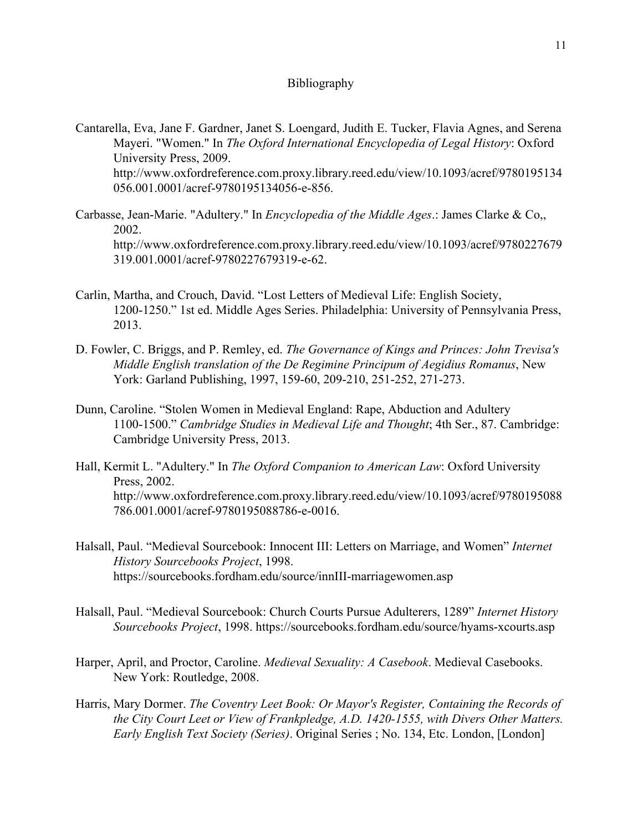## Bibliography

- Cantarella, Eva, Jane F. Gardner, Janet S. Loengard, Judith E. Tucker, Flavia Agnes, and Serena Mayeri. "Women." In *The Oxford International Encyclopedia of Legal History*: Oxford University Press, 2009. http://www.oxfordreference.com.proxy.library.reed.edu/view/10.1093/acref/9780195134 056.001.0001/acref-9780195134056-e-856.
- Carbasse, Jean-Marie. "Adultery." In *Encyclopedia of the Middle Ages*.: James Clarke & Co,, 2002. http://www.oxfordreference.com.proxy.library.reed.edu/view/10.1093/acref/9780227679 319.001.0001/acref-9780227679319-e-62.
- Carlin, Martha, and Crouch, David. "Lost Letters of Medieval Life: English Society, 1200-1250." 1st ed. Middle Ages Series. Philadelphia: University of Pennsylvania Press, 2013.
- D. Fowler, C. Briggs, and P. Remley, ed. *The Governance of Kings and Princes: John Trevisa's Middle English translation of the De Regimine Principum of Aegidius Romanus*, New York: Garland Publishing, 1997, 159-60, 209-210, 251-252, 271-273.
- Dunn, Caroline. "Stolen Women in Medieval England: Rape, Abduction and Adultery 1100-1500." *Cambridge Studies in Medieval Life and Thought*; 4th Ser., 87. Cambridge: Cambridge University Press, 2013.
- Hall, Kermit L. "Adultery." In *The Oxford Companion to American Law*: Oxford University Press, 2002. http://www.oxfordreference.com.proxy.library.reed.edu/view/10.1093/acref/9780195088 786.001.0001/acref-9780195088786-e-0016.
- Halsall, Paul. "Medieval Sourcebook: Innocent III: Letters on Marriage, and Women" *Internet History Sourcebooks Project*, 1998. https://sourcebooks.fordham.edu/source/innIII-marriagewomen.asp
- Halsall, Paul. "Medieval Sourcebook: Church Courts Pursue Adulterers, 1289" *Internet History Sourcebooks Project*, 1998. https://sourcebooks.fordham.edu/source/hyams-xcourts.asp
- Harper, April, and Proctor, Caroline. *Medieval Sexuality: A Casebook*. Medieval Casebooks. New York: Routledge, 2008.
- Harris, Mary Dormer. *The Coventry Leet Book: Or Mayor's Register, Containing the Records of the City Court Leet or View of Frankpledge, A.D. 1420-1555, with Divers Other Matters. Early English Text Society (Series)*. Original Series ; No. 134, Etc. London, [London]